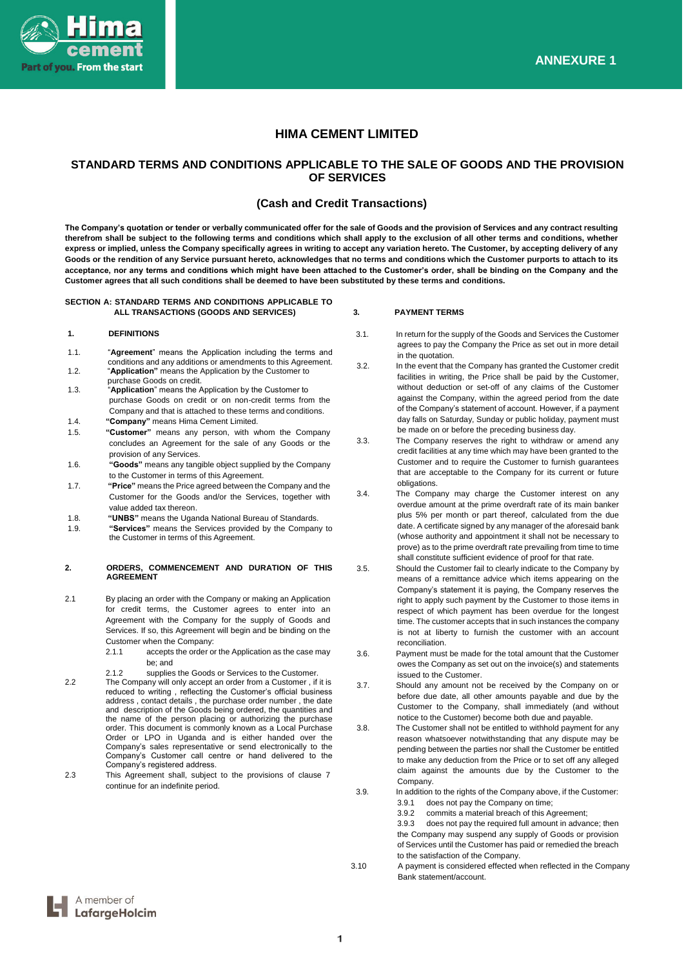

# **HIMA CEMENT LIMITED**

# **STANDARD TERMS AND CONDITIONS APPLICABLE TO THE SALE OF GOODS AND THE PROVISION OF SERVICES**

# **(Cash and Credit Transactions)**

**The Company's quotation or tender or verbally communicated offer for the sale of Goods and the provision of Services and any contract resulting therefrom shall be subject to the following terms and conditions which shall apply to the exclusion of all other terms and conditions, whether express or implied, unless the Company specifically agrees in writing to accept any variation hereto. The Customer, by accepting delivery of any Goods or the rendition of any Service pursuant hereto, acknowledges that no terms and conditions which the Customer purports to attach to its acceptance, nor any terms and conditions which might have been attached to the Customer's order, shall be binding on the Company and the Customer agrees that all such conditions shall be deemed to have been substituted by these terms and conditions.**

# **SECTION A: STANDARD TERMS AND CONDITIONS APPLICABLE TO ALL TRANSACTIONS (GOODS AND SERVICES)**

# **1. DEFINITIONS**

- 1.1. "**Agreement**" means the Application including the terms and conditions and any additions or amendments to this Agreement.
- 1.2. "**Application"** means the Application by the Customer to purchase Goods on credit. 1.3. "**Application**" means the Application by the Customer to
- purchase Goods on credit or on non-credit terms from the Company and that is attached to these terms and conditions.
- 1.4. **"Company"** means Hima Cement Limited.
- 1.5. **"Customer"** means any person, with whom the Company concludes an Agreement for the sale of any Goods or the provision of any Services.
- 1.6. **"Goods"** means any tangible object supplied by the Company to the Customer in terms of this Agreement.
- 1.7. **"Price"** means the Price agreed between the Company and the Customer for the Goods and/or the Services, together with value added tax thereon.
- 1.8. **"UNBS"** means the Uganda National Bureau of Standards.
- 1.9. **"Services"** means the Services provided by the Company to the Customer in terms of this Agreement.

### **2. ORDERS, COMMENCEMENT AND DURATION OF THIS AGREEMENT**

- 2.1 By placing an order with the Company or making an Application for credit terms, the Customer agrees to enter into an Agreement with the Company for the supply of Goods and Services. If so, this Agreement will begin and be binding on the Customer when the Company:
	- 2.1.1 accepts the order or the Application as the case may be; and
	- 2.1.2 supplies the Goods or Services to the Customer.
- 2.2 The Company will only accept an order from a Customer , if it is reduced to writing , reflecting the Customer's official business address , contact details , the purchase order number , the date and description of the Goods being ordered, the quantities and the name of the person placing or authorizing the purchase order. This document is commonly known as a Local Purchase Order or LPO in Uganda and is either handed over the Company's sales representative or send electronically to the Company's Customer call centre or hand delivered to the Company's registered address.
- 2.3 This Agreement shall, subject to the provisions of clause 7 continue for an indefinite period.

# **3. PAYMENT TERMS**

- 3.1. In return for the supply of the Goods and Services the Customer agrees to pay the Company the Price as set out in more detail in the quotation.
- 3.2. In the event that the Company has granted the Customer credit facilities in writing, the Price shall be paid by the Customer, without deduction or set-off of any claims of the Customer against the Company, within the agreed period from the date of the Company's statement of account. However, if a payment day falls on Saturday, Sunday or public holiday, payment must be made on or before the preceding business day.
- 3.3. The Company reserves the right to withdraw or amend any credit facilities at any time which may have been granted to the Customer and to require the Customer to furnish guarantees that are acceptable to the Company for its current or future obligations.
- 3.4. The Company may charge the Customer interest on any overdue amount at the prime overdraft rate of its main banker plus 5% per month or part thereof, calculated from the due date. A certificate signed by any manager of the aforesaid bank (whose authority and appointment it shall not be necessary to prove) as to the prime overdraft rate prevailing from time to time shall constitute sufficient evidence of proof for that rate.
- 3.5. Should the Customer fail to clearly indicate to the Company by means of a remittance advice which items appearing on the Company's statement it is paying, the Company reserves the right to apply such payment by the Customer to those items in respect of which payment has been overdue for the longest time. The customer accepts that in such instances the company is not at liberty to furnish the customer with an account reconciliation.
- 3.6. Payment must be made for the total amount that the Customer owes the Company as set out on the invoice(s) and statements issued to the Customer.
- 3.7. Should any amount not be received by the Company on or before due date, all other amounts payable and due by the Customer to the Company, shall immediately (and without notice to the Customer) become both due and payable.
- 3.8. The Customer shall not be entitled to withhold payment for any reason whatsoever notwithstanding that any dispute may be pending between the parties nor shall the Customer be entitled to make any deduction from the Price or to set off any alleged claim against the amounts due by the Customer to the Company.
- 3.9. In addition to the rights of the Company above, if the Customer:<br>3.9.1 does not pay the Company on time: does not pay the Company on time;
	- 3.9.2 commits a material breach of this Agreement;
	- 3.9.3 does not pay the required full amount in advance; then the Company may suspend any supply of Goods or provision of Services until the Customer has paid or remedied the breach to the satisfaction of the Company.
- 3.10 A payment is considered effected when reflected in the Company Bank statement/account.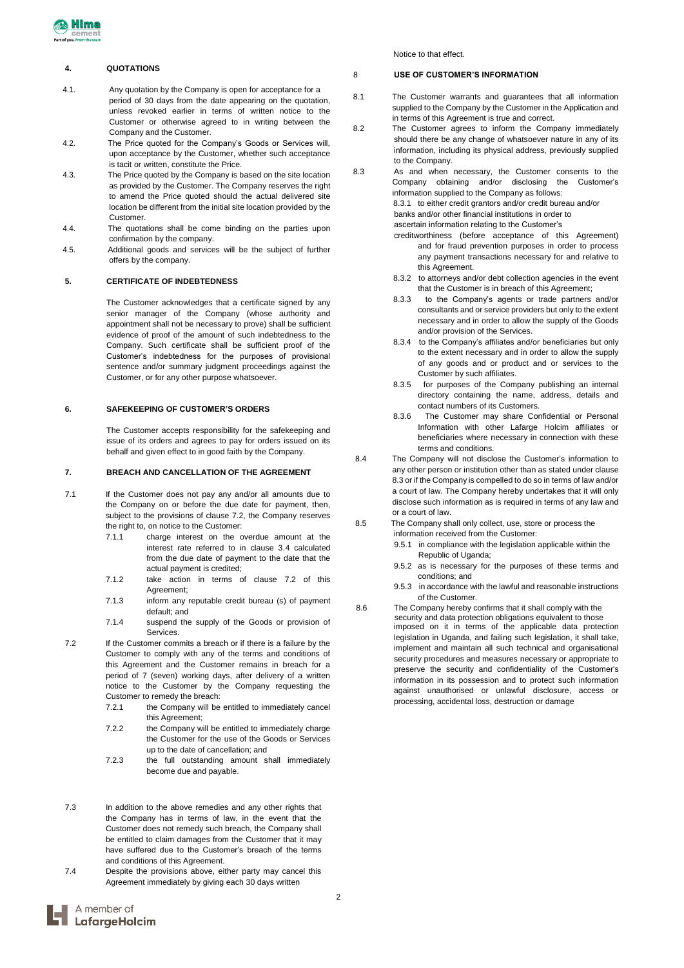

# **4. QUOTATIONS**

- 4.1. Any quotation by the Company is open for acceptance for a period of 30 days from the date appearing on the quotation, unless revoked earlier in terms of written notice to the Customer or otherwise agreed to in writing between the Company and the Customer.
- 4.2. The Price quoted for the Company's Goods or Services will, upon acceptance by the Customer, whether such acceptance is tacit or written, constitute the Price.
- 4.3. The Price quoted by the Company is based on the site location as provided by the Customer. The Company reserves the right to amend the Price quoted should the actual delivered site location be different from the initial site location provided by the Customer.
- 4.4. The quotations shall be come binding on the parties upon confirmation by the company.
- 4.5. Additional goods and services will be the subject of further offers by the company.

# **5. CERTIFICATE OF INDEBTEDNESS**

The Customer acknowledges that a certificate signed by any senior manager of the Company (whose authority and appointment shall not be necessary to prove) shall be sufficient evidence of proof of the amount of such indebtedness to the Company. Such certificate shall be sufficient proof of the Customer's indebtedness for the purposes of provisional sentence and/or summary judgment proceedings against the Customer, or for any other purpose whatsoever.

# **6. SAFEKEEPING OF CUSTOMER'S ORDERS**

The Customer accepts responsibility for the safekeeping and issue of its orders and agrees to pay for orders issued on its behalf and given effect to in good faith by the Company.

# **7. BREACH AND CANCELLATION OF THE AGREEMENT**

- 7.1 If the Customer does not pay any and/or all amounts due to the Company on or before the due date for payment, then, subject to the provisions of clause 7.2, the Company reserves the right to, on notice to the Customer:
	- 7.1.1 charge interest on the overdue amount at the interest rate referred to in clause 3.4 calculated from the due date of payment to the date that the actual payment is credited;
	- 7.1.2 take action in terms of clause 7.2 of this Agreement;
	- 7.1.3 inform any reputable credit bureau (s) of payment default; and
	- 7.1.4 suspend the supply of the Goods or provision of Services.
- 7.2 If the Customer commits a breach or if there is a failure by the Customer to comply with any of the terms and conditions of this Agreement and the Customer remains in breach for a period of 7 (seven) working days, after delivery of a written notice to the Customer by the Company requesting the Customer to remedy the breach:
	- 7.2.1 the Company will be entitled to immediately cancel this Agreement;
	- 7.2.2 the Company will be entitled to immediately charge the Customer for the use of the Goods or Services up to the date of cancellation; and
	- 7.2.3 the full outstanding amount shall immediately become due and payable.
- 7.3 In addition to the above remedies and any other rights that the Company has in terms of law, in the event that the Customer does not remedy such breach, the Company shall be entitled to claim damages from the Customer that it may have suffered due to the Customer's breach of the terms and conditions of this Agreement.
- 7.4 Despite the provisions above, either party may cancel this Agreement immediately by giving each 30 days written

Notice to that effect.

# 8 **USE OF CUSTOMER'S INFORMATION**

- 8.1 The Customer warrants and guarantees that all information supplied to the Company by the Customer in the Application and in terms of this Agreement is true and correct.
- 8.2 The Customer agrees to inform the Company immediately should there be any change of whatsoever nature in any of its information, including its physical address, previously supplied to the Company.
- 8.3 As and when necessary, the Customer consents to the Company obtaining and/or disclosing the Customer's information supplied to the Company as follows: 8.3.1 to either credit grantors and/or credit bureau and/or banks and/or other financial institutions in order to ascertain information relating to the Customer's creditworthiness (before acceptance of this Agreement)
	- and for fraud prevention purposes in order to process any payment transactions necessary for and relative to this Agreement.
	- 8.3.2 to attorneys and/or debt collection agencies in the event that the Customer is in breach of this Agreement;
	- 8.3.3 to the Company's agents or trade partners and/or consultants and or service providers but only to the extent necessary and in order to allow the supply of the Goods and/or provision of the Services.
	- 8.3.4 to the Company's affiliates and/or beneficiaries but only to the extent necessary and in order to allow the supply of any goods and or product and or services to the Customer by such affiliates.
	- 8.3.5 for purposes of the Company publishing an internal directory containing the name, address, details and contact numbers of its Customers.
	- 8.3.6 The Customer may share Confidential or Personal Information with other Lafarge Holcim affiliates or beneficiaries where necessary in connection with these terms and conditions.
- 8.4 The Company will not disclose the Customer's information to any other person or institution other than as stated under clause 8.3 or if the Company is compelled to do so in terms of law and/or a court of law. The Company hereby undertakes that it will only disclose such information as is required in terms of any law and or a court of law.
- 8.5 The Company shall only collect, use, store or process the information received from the Customer:
	- 9.5.1 in compliance with the legislation applicable within the
		- Republic of Uganda;
		- 9.5.2 as is necessary for the purposes of these terms and conditions; and
		- 9.5.3 in accordance with the lawful and reasonable instructions of the Customer.
- 8.6 The Company hereby confirms that it shall comply with the security and data protection obligations equivalent to those imposed on it in terms of the applicable data protection legislation in Uganda, and failing such legislation, it shall take, implement and maintain all such technical and organisational security procedures and measures necessary or appropriate to preserve the security and confidentiality of the Customer's information in its possession and to protect such information against unauthorised or unlawful disclosure, access or processing, accidental loss, destruction or damage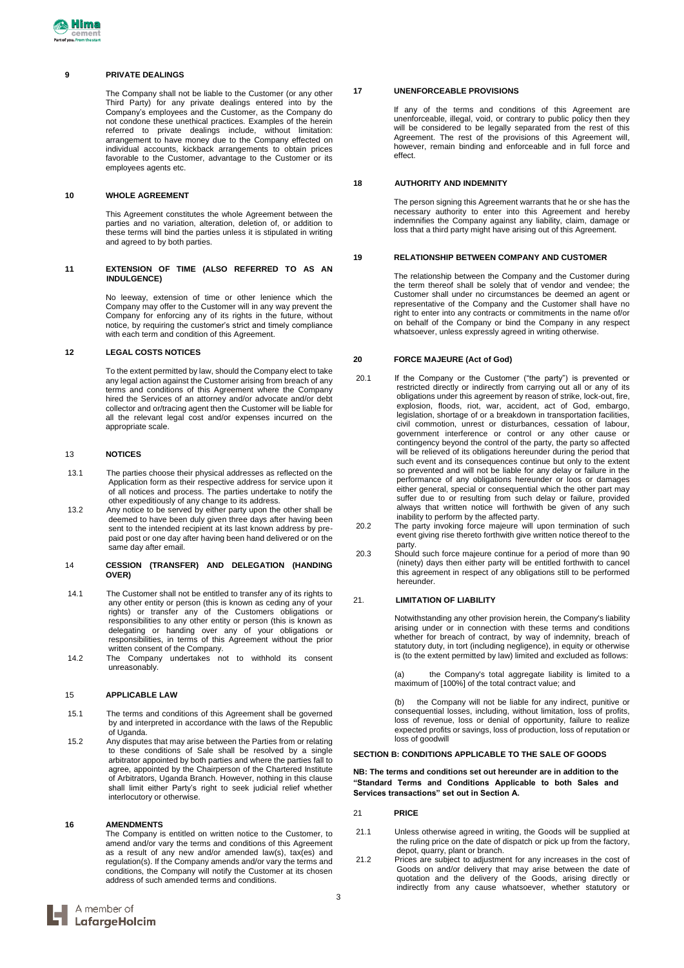# **9 PRIVATE DEALINGS**

The Company shall not be liable to the Customer (or any other Third Party) for any private dealings entered into by the Company's employees and the Customer, as the Company do not condone these unethical practices. Examples of the herein referred to private dealings include, without limitation: arrangement to have money due to the Company effected on individual accounts, kickback arrangements to obtain prices favorable to the Customer, advantage to the Customer or its employees agents etc.

### **10 WHOLE AGREEMENT**

This Agreement constitutes the whole Agreement between the parties and no variation, alteration, deletion of, or addition to these terms will bind the parties unless it is stipulated in writing and agreed to by both parties.

### **11 EXTENSION OF TIME (ALSO REFERRED TO AS AN INDULGENCE)**

No leeway, extension of time or other lenience which the Company may offer to the Customer will in any way prevent the Company for enforcing any of its rights in the future, without notice, by requiring the customer's strict and timely compliance with each term and condition of this Agreement.

# **12 LEGAL COSTS NOTICES**

To the extent permitted by law, should the Company elect to take any legal action against the Customer arising from breach of any terms and conditions of this Agreement where the Company hired the Services of an attorney and/or advocate and/or debt collector and or/tracing agent then the Customer will be liable for all the relevant legal cost and/or expenses incurred on the appropriate scale.

#### 13 **NOTICES**

- 13.1 The parties choose their physical addresses as reflected on the Application form as their respective address for service upon it of all notices and process. The parties undertake to notify the other expeditiously of any change to its address.
- 13.2 Any notice to be served by either party upon the other shall be deemed to have been duly given three days after having been sent to the intended recipient at its last known address by prepaid post or one day after having been hand delivered or on the same day after email.
- 14 **CESSION (TRANSFER) AND DELEGATION (HANDING OVER)**
- 14.1 The Customer shall not be entitled to transfer any of its rights to any other entity or person (this is known as ceding any of your rights) or transfer any of the Customers obligations or responsibilities to any other entity or person (this is known as delegating or handing over any of your obligations or responsibilities, in terms of this Agreement without the prior written consent of the Company.
- 14.2 The Company undertakes not to withhold its consent unreasonably.

#### 15 **APPLICABLE LAW**

- 15.1 The terms and conditions of this Agreement shall be governed by and interpreted in accordance with the laws of the Republic of Uganda.
- 15.2 Any disputes that may arise between the Parties from or relating to these conditions of Sale shall be resolved by a single arbitrator appointed by both parties and where the parties fall to agree, appointed by the Chairperson of the Chartered Institute of Arbitrators, Uganda Branch. However, nothing in this clause shall limit either Party's right to seek judicial relief whether interlocutory or otherwise.

#### **16 AMENDMENTS**

The Company is entitled on written notice to the Customer, to amend and/or vary the terms and conditions of this Agreement as a result of any new and/or amended law(s), tax(es) and regulation(s). If the Company amends and/or vary the terms and conditions, the Company will notify the Customer at its chosen address of such amended terms and conditions.

#### **17 UNENFORCEABLE PROVISIONS**

If any of the terms and conditions of this Agreement are unenforceable, illegal, void, or contrary to public policy then they will be considered to be legally separated from the rest of this Agreement. The rest of the provisions of this Agreement will, however, remain binding and enforceable and in full force and effect.

### **18 AUTHORITY AND INDEMNITY**

The person signing this Agreement warrants that he or she has the necessary authority to enter into this Agreement and hereby indemnifies the Company against any liability, claim, damage or loss that a third party might have arising out of this Agreement.

#### **19 RELATIONSHIP BETWEEN COMPANY AND CUSTOMER**

The relationship between the Company and the Customer during the term thereof shall be solely that of vendor and vendee; the Customer shall under no circumstances be deemed an agent or representative of the Company and the Customer shall have no right to enter into any contracts or commitments in the name of/or on behalf of the Company or bind the Company in any respect whatsoever, unless expressly agreed in writing otherwise.

# **20 FORCE MAJEURE (Act of God)**

- 20.1 If the Company or the Customer ("the party") is prevented or restricted directly or indirectly from carrying out all or any of its obligations under this agreement by reason of strike, lock-out, fire, explosion, floods, riot, war, accident, act of God, embargo, legislation, shortage of or a breakdown in transportation facilities, civil commotion, unrest or disturbances, cessation of labour, government interference or control or any other cause or contingency beyond the control of the party, the party so affected will be relieved of its obligations hereunder during the period that such event and its consequences continue but only to the extent so prevented and will not be liable for any delay or failure in the performance of any obligations hereunder or loos or damages either general, special or consequential which the other part may suffer due to or resulting from such delay or failure, provided always that written notice will forthwith be given of any such inability to perform by the affected party.
- 20.2 The party invoking force majeure will upon termination of such event giving rise thereto forthwith give written notice thereof to the party.
- 20.3 Should such force majeure continue for a period of more than 90 (ninety) days then either party will be entitled forthwith to cancel this agreement in respect of any obligations still to be performed hereunder.

#### 21. **LIMITATION OF LIABILITY**

Notwithstanding any other provision herein, the Company's liability arising under or in connection with these terms and conditions whether for breach of contract, by way of indemnity, breach of statutory duty, in tort (including negligence), in equity or otherwise is (to the extent permitted by law) limited and excluded as follows:

(a) the Company's total aggregate liability is limited to a maximum of [100%] of the total contract value; and

the Company will not be liable for any indirect, punitive or consequential losses, including, without limitation, loss of profits, loss of revenue, loss or denial of opportunity, failure to realize expected profits or savings, loss of production, loss of reputation or loss of goodwill

# **SECTION B: CONDITIONS APPLICABLE TO THE SALE OF GOODS**

**NB: The terms and conditions set out hereunder are in addition to the "Standard Terms and Conditions Applicable to both Sales and Services transactions" set out in Section A.**

# 21 **PRICE**

- 21.1 Unless otherwise agreed in writing, the Goods will be supplied at the ruling price on the date of dispatch or pick up from the factory, depot, quarry, plant or branch.
- 21.2 Prices are subject to adjustment for any increases in the cost of Goods on and/or delivery that may arise between the date of quotation and the delivery of the Goods, arising directly or indirectly from any cause whatsoever, whether statutory or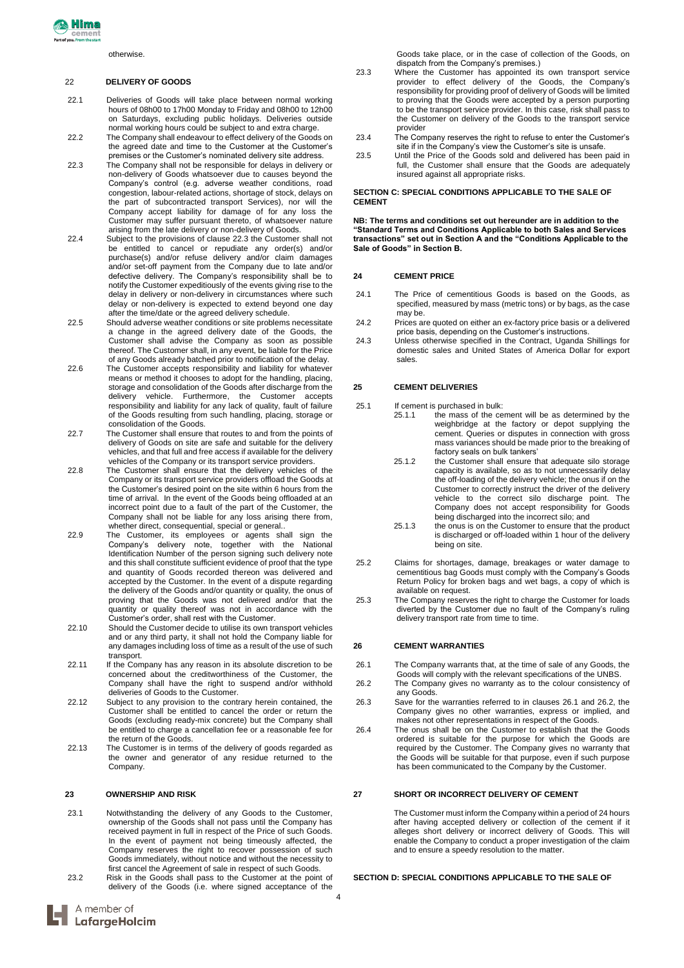# 22 **DELIVERY OF GOODS**

- 22.1 Deliveries of Goods will take place between normal working hours of 08h00 to 17h00 Monday to Friday and 08h00 to 12h00 on Saturdays, excluding public holidays. Deliveries outside normal working hours could be subject to and extra charge.
- 22.2 The Company shall endeavour to effect delivery of the Goods on the agreed date and time to the Customer at the Customer's premises or the Customer's nominated delivery site address.
- 22.3 The Company shall not be responsible for delays in delivery or non-delivery of Goods whatsoever due to causes beyond the Company's control (e.g. adverse weather conditions, road congestion, labour-related actions, shortage of stock, delays on the part of subcontracted transport Services), nor will the Company accept liability for damage of for any loss the Customer may suffer pursuant thereto, of whatsoever nature arising from the late delivery or non-delivery of Goods.
- 22.4 Subject to the provisions of clause 22.3 the Customer shall not be entitled to cancel or repudiate any order(s) and/or purchase(s) and/or refuse delivery and/or claim damages and/or set-off payment from the Company due to late and/or defective delivery. The Company's responsibility shall be to notify the Customer expeditiously of the events giving rise to the delay in delivery or non-delivery in circumstances where such delay or non-delivery is expected to extend beyond one day after the time/date or the agreed delivery schedule.
- 22.5 Should adverse weather conditions or site problems necessitate a change in the agreed delivery date of the Goods, the Customer shall advise the Company as soon as possible thereof. The Customer shall, in any event, be liable for the Price of any Goods already batched prior to notification of the delay.
- 22.6 The Customer accepts responsibility and liability for whatever means or method it chooses to adopt for the handling, placing, storage and consolidation of the Goods after discharge from the delivery vehicle. Furthermore, the Customer accepts responsibility and liability for any lack of quality, fault of failure of the Goods resulting from such handling, placing, storage or consolidation of the Goods.
- 22.7 The Customer shall ensure that routes to and from the points of delivery of Goods on site are safe and suitable for the delivery vehicles, and that full and free access if available for the delivery vehicles of the Company or its transport service providers.
- 22.8 The Customer shall ensure that the delivery vehicles of the Company or its transport service providers offload the Goods at the Customer's desired point on the site within 6 hours from the time of arrival. In the event of the Goods being offloaded at an incorrect point due to a fault of the part of the Customer, the Company shall not be liable for any loss arising there from, whether direct, consequential, special or general..
- 22.9 The Customer, its employees or agents shall sign the Company's delivery note, together with the National Identification Number of the person signing such delivery note and this shall constitute sufficient evidence of proof that the type and quantity of Goods recorded thereon was delivered and accepted by the Customer. In the event of a dispute regarding the delivery of the Goods and/or quantity or quality, the onus of proving that the Goods was not delivered and/or that the quantity or quality thereof was not in accordance with the Customer's order, shall rest with the Customer.
- 22.10 Should the Customer decide to utilise its own transport vehicles and or any third party, it shall not hold the Company liable for any damages including loss of time as a result of the use of such transport.
- 22.11 If the Company has any reason in its absolute discretion to be concerned about the creditworthiness of the Customer, the Company shall have the right to suspend and/or withhold deliveries of Goods to the Customer.
- 22.12 Subject to any provision to the contrary herein contained, the Customer shall be entitled to cancel the order or return the Goods (excluding ready-mix concrete) but the Company shall be entitled to charge a cancellation fee or a reasonable fee for the return of the Goods.
- 22.13 The Customer is in terms of the delivery of goods regarded as the owner and generator of any residue returned to the Company.

# **23 OWNERSHIP AND RISK**

- 23.1 Notwithstanding the delivery of any Goods to the Customer, ownership of the Goods shall not pass until the Company has received payment in full in respect of the Price of such Goods. In the event of payment not being timeously affected, the Company reserves the right to recover possession of such Goods immediately, without notice and without the necessity to first cancel the Agreement of sale in respect of such Goods.
- 23.2 Risk in the Goods shall pass to the Customer at the point of delivery of the Goods (i.e. where signed acceptance of the
- 23.3 Where the Customer has appointed its own transport service provider to effect delivery of the Goods, the Company's responsibility for providing proof of delivery of Goods will be limited to proving that the Goods were accepted by a person purporting to be the transport service provider. In this case, risk shall pass to the Customer on delivery of the Goods to the transport service provider
- 23.4 The Company reserves the right to refuse to enter the Customer's site if in the Company's view the Customer's site is unsafe.
- 23.5 Until the Price of the Goods sold and delivered has been paid in full, the Customer shall ensure that the Goods are adequately insured against all appropriate risks.

### **SECTION C: SPECIAL CONDITIONS APPLICABLE TO THE SALE OF CEMENT**

**NB: The terms and conditions set out hereunder are in addition to the "Standard Terms and Conditions Applicable to both Sales and Services transactions" set out in Section A and the "Conditions Applicable to the Sale of Goods" in Section B.**

# **24 CEMENT PRICE**

- 24.1 The Price of cementitious Goods is based on the Goods, as specified, measured by mass (metric tons) or by bags, as the case may be.
- 24.2 Prices are quoted on either an ex-factory price basis or a delivered price basis, depending on the Customer's instructions.
- 24.3 Unless otherwise specified in the Contract, Uganda Shillings for domestic sales and United States of America Dollar for export sales.

#### **25 CEMENT DELIVERIES**

25.1 If cement is purchased in bulk:

- 25.1.1 the mass of the cement will be as determined by the weighbridge at the factory or depot supplying the cement. Queries or disputes in connection with gross mass variances should be made prior to the breaking of factory seals on bulk tankers'
	- 25.1.2 the Customer shall ensure that adequate silo storage capacity is available, so as to not unnecessarily delay the off-loading of the delivery vehicle; the onus if on the Customer to correctly instruct the driver of the delivery vehicle to the correct silo discharge point. The Company does not accept responsibility for Goods being discharged into the incorrect silo; and
	- 25.1.3 the onus is on the Customer to ensure that the product is discharged or off-loaded within 1 hour of the delivery being on site.
- 25.2 Claims for shortages, damage, breakages or water damage to cementitious bag Goods must comply with the Company's Goods Return Policy for broken bags and wet bags, a copy of which is available on request.
- 25.3 The Company reserves the right to charge the Customer for loads diverted by the Customer due no fault of the Company's ruling delivery transport rate from time to time.

# **26 CEMENT WARRANTIES**

- 26.1 The Company warrants that, at the time of sale of any Goods, the Goods will comply with the relevant specifications of the UNBS.
- 26.2 The Company gives no warranty as to the colour consistency of any Goods.
- 26.3 Save for the warranties referred to in clauses 26.1 and 26.2, the Company gives no other warranties, express or implied, and makes not other representations in respect of the Goods.
- 26.4 The onus shall be on the Customer to establish that the Goods ordered is suitable for the purpose for which the Goods are required by the Customer. The Company gives no warranty that the Goods will be suitable for that purpose, even if such purpose has been communicated to the Company by the Customer.

# **27 SHORT OR INCORRECT DELIVERY OF CEMENT**

The Customer must inform the Company within a period of 24 hours after having accepted delivery or collection of the cement if it alleges short delivery or incorrect delivery of Goods. This will enable the Company to conduct a proper investigation of the claim and to ensure a speedy resolution to the matter.

# **SECTION D: SPECIAL CONDITIONS APPLICABLE TO THE SALE OF**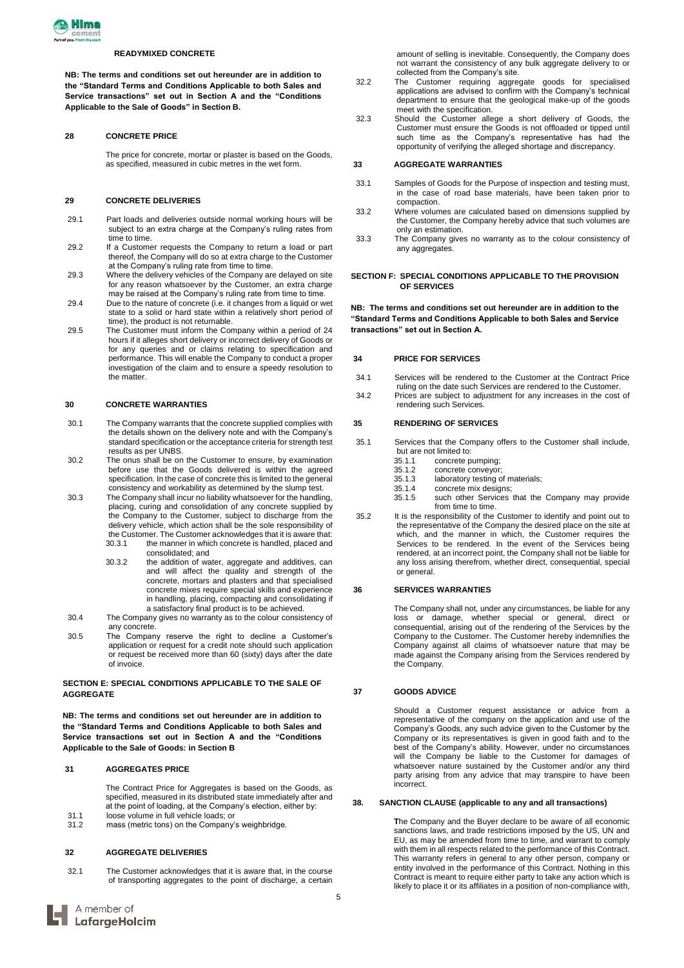

#### **READYMIXED CONCRETE**

**NB: The terms and conditions set out hereunder are in addition to the "Standard Terms and Conditions Applicable to both Sales and Service transactions" set out in Section A and the "Conditions Applicable to the Sale of Goods" in Section B.**

#### **28 CONCRETE PRICE**

The price for concrete, mortar or plaster is based on the Goods, as specified, measured in cubic metres in the wet form.

#### **29 CONCRETE DELIVERIES**

- 29.1 Part loads and deliveries outside normal working hours will be subject to an extra charge at the Company's ruling rates from time to time.
- 29.2 If a Customer requests the Company to return a load or part thereof, the Company will do so at extra charge to the Customer at the Company's ruling rate from time to time.
- 29.3 Where the delivery vehicles of the Company are delayed on site for any reason whatsoever by the Customer, an extra charge may be raised at the Company's ruling rate from time to time.
- 29.4 Due to the nature of concrete (i.e. it changes from a liquid or wet state to a solid or hard state within a relatively short period of time), the product is not returnable.
- 29.5 The Customer must inform the Company within a period of 24 hours if it alleges short delivery or incorrect delivery of Goods or for any queries and or claims relating to specification and performance. This will enable the Company to conduct a proper investigation of the claim and to ensure a speedy resolution to the matter.

#### **30 CONCRETE WARRANTIES**

- 30.1 The Company warrants that the concrete supplied complies with the details shown on the delivery note and with the Company's standard specification or the acceptance criteria for strength test results as per UNBS.
- 30.2 The onus shall be on the Customer to ensure, by examination before use that the Goods delivered is within the agreed specification. In the case of concrete this is limited to the general consistency and workability as determined by the slump test.
- 30.3 The Company shall incur no liability whatsoever for the handling, placing, curing and consolidation of any concrete supplied by the Company to the Customer, subject to discharge from the delivery vehicle, which action shall be the sole responsibility of the Customer. The Customer acknowledges that it is aware that: 30.3.1 the manner in which concrete is handled, placed and consolidated; and
	- 30.3.2 the addition of water, aggregate and additives, can and will affect the quality and strength of the concrete, mortars and plasters and that specialised concrete mixes require special skills and experience in handling, placing, compacting and consolidating if a satisfactory final product is to be achieved.
- 30.4 The Company gives no warranty as to the colour consistency of any concrete.
- 30.5 The Company reserve the right to decline a Customer's application or request for a credit note should such application or request be received more than 60 (sixty) days after the date of invoice.

### **SECTION E: SPECIAL CONDITIONS APPLICABLE TO THE SALE OF AGGREGATE**

**NB: The terms and conditions set out hereunder are in addition to the "Standard Terms and Conditions Applicable to both Sales and Service transactions set out in Section A and the "Conditions Applicable to the Sale of Goods: in Section B**

### **31 AGGREGATES PRICE**

The Contract Price for Aggregates is based on the Goods, as specified, measured in its distributed state immediately after and at the point of loading, at the Company's election, either by:

31.1 loose volume in full vehicle loads; or<br>31.2 mass (metric tons) on the Company' mass (metric tons) on the Company's weighbridge.

#### **32 AGGREGATE DELIVERIES**

32.1 The Customer acknowledges that it is aware that, in the course of transporting aggregates to the point of discharge, a certain amount of selling is inevitable. Consequently, the Company does not warrant the consistency of any bulk aggregate delivery to or collected from the Company's site.

- 32.2 The Customer requiring aggregate goods for specialised applications are advised to confirm with the Company's technical department to ensure that the geological make-up of the goods meet with the specification.
- 32.3 Should the Customer allege a short delivery of Goods, the Customer must ensure the Goods is not offloaded or tipped until such time as the Company's representative has had the opportunity of verifying the alleged shortage and discrepancy.

### **33 AGGREGATE WARRANTIES**

- 33.1 Samples of Goods for the Purpose of inspection and testing must, in the case of road base materials, have been taken prior to compaction.
- 33.2 Where volumes are calculated based on dimensions supplied by the Customer, the Company hereby advice that such volumes are only an estimation.
- 33.3 The Company gives no warranty as to the colour consistency of any aggregates.

### **SECTION F: SPECIAL CONDITIONS APPLICABLE TO THE PROVISION OF SERVICES**

**NB: The terms and conditions set out hereunder are in addition to the "Standard Terms and Conditions Applicable to both Sales and Service transactions" set out in Section A.**

### **34 PRICE FOR SERVICES**

- 34.1 Services will be rendered to the Customer at the Contract Price ruling on the date such Services are rendered to the Customer.
- 34.2 Prices are subject to adjustment for any increases in the cost of rendering such Services.

# **35 RENDERING OF SERVICES**

- 35.1 Services that the Company offers to the Customer shall include, but are not limited to:<br>35.1.1 concrete p
	- 35.1.1 concrete pumping;<br>35.1.2 concrete convevor:
	- concrete conveyor;
	- 35.1.3 laboratory testing of materials;<br>35.1.4 concrete mix designs;
	- 35.1.4 concrete mix designs; such other Services that the Company may provide from time to time.
- 35.2 It is the responsibility of the Customer to identify and point out to the representative of the Company the desired place on the site at which, and the manner in which, the Customer requires the Services to be rendered. In the event of the Services being rendered, at an incorrect point, the Company shall not be liable for any loss arising therefrom, whether direct, consequential, special or general.

### **36 SERVICES WARRANTIES**

The Company shall not, under any circumstances, be liable for any loss or damage, whether special or general, direct or consequential, arising out of the rendering of the Services by the Company to the Customer. The Customer hereby indemnifies the Company against all claims of whatsoever nature that may be made against the Company arising from the Services rendered by the Company.

### **37 GOODS ADVICE**

Should a Customer request assistance or advice from a representative of the company on the application and use of the Company's Goods, any such advice given to the Customer by the Company or its representatives is given in good faith and to the best of the Company's ability. However, under no circumstances will the Company be liable to the Customer for damages of whatsoever nature sustained by the Customer and/or any third party arising from any advice that may transpire to have been incorrect.

### **38. SANCTION CLAUSE (applicable to any and all transactions)**

**T**he Company and the Buyer declare to be aware of all economic sanctions laws, and trade restrictions imposed by the US, UN and EU, as may be amended from time to time, and warrant to comply with them in all respects related to the performance of this Contract. This warranty refers in general to any other person, company or entity involved in the performance of this Contract. Nothing in this Contract is meant to require either party to take any action which is likely to place it or its affiliates in a position of non-compliance with,